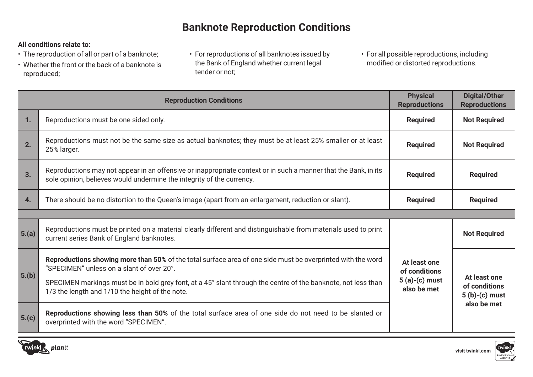# **Banknote Reproduction Conditions**

### **All conditions relate to:**

- The reproduction of all or part of a banknote;
- Whether the front or the back of a banknote is reproduced;
- For reproductions of all banknotes issued by the Bank of England whether current legal tender or not;
- For all possible reproductions, including modified or distorted reproductions.

| <b>Reproduction Conditions</b> |                                                                                                                                                                                                                                                                                                                              | <b>Physical</b><br><b>Reproductions</b>                         | <b>Digital/Other</b><br><b>Reproductions</b>                    |
|--------------------------------|------------------------------------------------------------------------------------------------------------------------------------------------------------------------------------------------------------------------------------------------------------------------------------------------------------------------------|-----------------------------------------------------------------|-----------------------------------------------------------------|
| 1.                             | Reproductions must be one sided only.                                                                                                                                                                                                                                                                                        | <b>Required</b>                                                 | <b>Not Required</b>                                             |
| 2.                             | Reproductions must not be the same size as actual banknotes; they must be at least 25% smaller or at least<br>25% larger.                                                                                                                                                                                                    | <b>Required</b>                                                 | <b>Not Required</b>                                             |
| 3.                             | Reproductions may not appear in an offensive or inappropriate context or in such a manner that the Bank, in its<br>sole opinion, believes would undermine the integrity of the currency.                                                                                                                                     | <b>Required</b>                                                 | <b>Required</b>                                                 |
| 4.                             | There should be no distortion to the Queen's image (apart from an enlargement, reduction or slant).                                                                                                                                                                                                                          | <b>Required</b>                                                 | <b>Required</b>                                                 |
|                                |                                                                                                                                                                                                                                                                                                                              |                                                                 |                                                                 |
| $\vert 5.(a) \vert$            | Reproductions must be printed on a material clearly different and distinguishable from materials used to print<br>current series Bank of England banknotes.                                                                                                                                                                  | At least one<br>of conditions<br>$5(a)-(c)$ must<br>also be met | <b>Not Required</b>                                             |
| $\vert 5.$ (b)                 | Reproductions showing more than 50% of the total surface area of one side must be overprinted with the word<br>"SPECIMEN" unless on a slant of over 20°.<br>SPECIMEN markings must be in bold grey font, at a 45° slant through the centre of the banknote, not less than<br>1/3 the length and 1/10 the height of the note. |                                                                 | At least one<br>of conditions<br>$5(b)-(c)$ must<br>also be met |
| 5.(c)                          | Reproductions showing less than 50% of the total surface area of one side do not need to be slanted or<br>overprinted with the word "SPECIMEN".                                                                                                                                                                              |                                                                 |                                                                 |



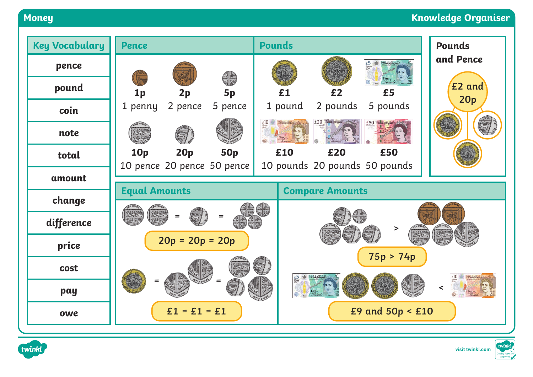### **Money Knowledge Organiser**